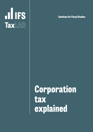

**Institute for Fiscal Studies**

# **Corporation tax explained**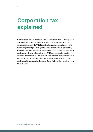## **Corporation tax explained**

Corporation tax is the fourth biggest source of revenue for the UK Treasury and is forecast to raise around £40 billion in 2021–22. It is levied on the profits of companies operating in the UK (the profits of unincorporated businesses – sole traders and partnerships **–** are subject to income tax rather than corporation tax). Companies operating in more than one country are, broadly speaking, taxed on the profits that are deemed to have arisen from UK-based assets and production activities. Different rates of corporation tax have, at various times, been applied to banking, North Sea oil and gas production, companies with small profits, and profits earned from patented technologies. The evolution of these rates is shown in the chart below.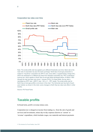

#### **Corporation tax rates over time**

Note: The small profits rate has applied up to different thresholds over time. Bank rate is the main rate of corporation tax plus the bank surcharge. North Sea oil and gas production is subject to 'ring-fence' corporation tax (RFCT) and, since 2002, a supplementary charge (SC), which are assessed on a different tax base from standard corporation tax. PRT is petroleum revenue tax, which applies to North Sea oil and gas fields developed before 16 March 1993 (though the rate has been zero since 1 January 2016). For these fields, the tax rate is calculated as  ${PRT}$  rate +  ${[(RFCT rate + SC) \times (1 - PRT rate)]}.$  The small profits rate for North Sea oil and gas profits is not shown in the chart. The horizontal axis has April of each year marked; as shown in the chart, some changes to North Sea tax rates took effect in other months.

Source: IFS Fiscal Facts.

## **Taxable profits**

In broad terms, profit is revenue minus costs.

Corporation tax is charged on income from trading (i.e. from the sale of goods and services) and investments, minus day-to-day expenses (known as 'current' or 'revenue' expenditure, which includes wages, raw materials and interest payments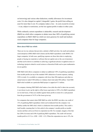on borrowing) and various other deductions, notably allowances for investment costs. It is also charged on capital ('chargeable') gains, the profit from selling an asset for more than it cost. If a company makes a loss – its costs exceed its revenue – it can, subject to restrictions, set the loss against profits it makes in other years.

While ordinarily current expenditure is deductible, research and development (R&D) tax reliefs allow companies to deduct more than 100% of qualifying current expenditure on R&D. R&D tax reliefs are more generous for small and mediumsized companies than for large companies.

#### **More about R&D tax reliefs**

There are two tax schemes that provide a subsidy to R&D activities: the small and mediumsized enterprises (SME) R&D relief scheme and the R&D expenditure credit (RDEC) for larger companies. In both cases, qualifying expenses are those that relate to employing people or buying raw materials or software (but not capital costs or the cost of premises) and that can be shown to contribute to achieving a significant advance in applied science or technology (projects related to social sciences or theoretical fields such as pure mathematics do not qualify).

SME R&D relief allows companies to deduct an additional 130% of qualifying expenditure from taxable profits (on top of the standard 100% deduction of current expenses, making 230% in total). It is available to companies with fewer than 500 employees and either an annual turnover under €100 million or a balance sheet total under €86 million. Total SME R&D relief available on a particular R&D project is capped at  $\epsilon$ 7.5 million.

If a company claiming SME R&D relief makes a loss (after the relief is taken into account), it can choose to give up the right to offset losses equivalent to 230% of its R&D expenditure (or its total losses, if these are smaller) against future profits in return for a cash payment from the government of 14.5% of the losses given up.

For companies that cannot claim SME R&D tax relief, the RDEC provides a tax credit of 13% of qualifying R&D expenditure which can be deducted from the company's tax liability (unlike the SME relief, which is a deduction from taxable profits). This credit is itself taxable, meaning that it is first *added* to the company's taxable profits as taxable income and then *subtracted* from its corporation tax bill. For example, imagine a firm that has £200 of revenue and £100 of qualifying R&D expenditure. The credit will increase taxable profit to £113 (i.e. £200 – £100 + £13). When the corporation tax rate is 19%, the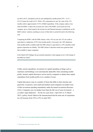tax bill is £8.47, calculated as the tax rate multiplied by taxable profit (19%  $\times$  £113 = £21.47) minus the credit of £13. With a 19% corporation tax rate, the value of the 13% taxable credit is approximately 10.5% of R&D expenditure. If the company makes a loss (after the RDEC is taken into account), the value of the RDEC can be paid out to the company, up to a limit (equal to the income tax and National Insurance contributions on the R&D workers' salaries); anything in excess of that limit is carried forward to the following year.

Comparing the RDEC with the SME scheme: with a 19% tax rate, the 13% tax credit is equivalent to a deduction of 55% from taxable profits. Conversely, the 130% deduction from taxable profits available under the SME scheme is equivalent to a 30% (taxable) credit against corporation tax liability. The SME scheme is therefore much more generous than that available to larger companies.

In the March 2021 Budget, the government launched a wide-ranging review of the design of the R&D tax reliefs.**<sup>1</sup>**

Unlike current expenditure, investment (or capital) spending on things such as machinery and buildings is not automatically deductible when calculating taxable profits. Instead, capital allowances can be used by companies to deduct their capital expenditure from taxable profits over a number of years.

Capital allowances come in a number of forms that differ in their structure and generosity. In practice, most small and medium-sized companies can deduct most of their investment spending immediately under the annual investment allowance (AIA). Companies can even deduct more than the full cost of some investment – a so-called 'super-deduction' – for the two years from 1 April 2021 to 31 March 2023, a policy closely linked to the announcement that the main rate of corporation tax will increase from 19% to 25% in April 2023.

**4**

**<sup>1</sup>** See https://www.gov.uk/government/consultations/rd-tax-reliefs-consultation.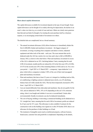#### **More about capital allowances**

The capital allowances available for investment depend on the type of asset bought. Some capital allowances can be thought of as crudely allowing for depreciation, the decline in an asset's value over time (e.g. as a result of wear and tear). Others are clearly more generous than that and can better be thought of as treating the asset purchase itself as a business expense, or as encouraging certain kinds of investment over others.

The detailed rules are complicated, but as a broad summary:

- The annual investment allowance (AIA) allows businesses to immediately deduct the first £1,000,000 of plant and machinery investment – the biggest category of investment, covering everything from computers and desks to lorries, industrial equipment and other tools of the trade – each year. The exact amount that can be deducted under the AIA has varied a lot over time and is due to fall to £200,000 in January 2022, as shown in the chart below. Plant and machinery investment in excess of the AIA is deducted on an 18% 'declining-balance' basis, meaning that for each £100 of investment, taxable profits are reduced by £18 in the first year (18% of £100), £14.76 in the second year (18% of the remaining balance of £82) and so on. For a twoyear period – 1 April 2021 to 31 March 2023 – a temporary 'super-deduction' is in place which allows companies to deduct 130% of the cost of their total (uncapped) plant and machinery investment.
- § Plant and machinery that lasts at least 25 years or is integral to a building (such as lifts, air conditioning or lighting systems) is deducted more slowly, on a 6% decliningbalance basis (if it falls outside the AIA). This has been temporarily increased to 50% from 1 April 2021 to 31 March 2023.
- § Cars are treated differently from other plant and machinery: they do not qualify for the AIA, and are deducted at 100%, 18% or  $6\%$  depending on the car's  $CO<sub>2</sub>$  emissions rating, when it was bought and whether it was new or second-hand. Certain other environmentally friendly investments can also be deducted immediately.
- The cost of buying, building or renovating a commercial building can be deducted on a 3% 'straight-line' basis, meaning that for each £100 of investment, profits are reduced by £3 per year for 33⅓ years. This allowance is only available if contracts for the construction work on the building were signed on or after 29 October 2018; there is no allowance for the purchase of older buildings or of land.
- The treatment of intangible assets (such as intellectual property, software licences, brand assets, customer lists and goodwill) is complicated. Depending on the details,

**5**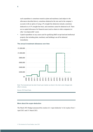such expenditure is sometimes treated as plant and machinery (and subject to the allowances described above), sometimes deducted at the rate used in the company's accounts (with an option of using a 4% straight-line deduction instead), sometimes deducted on a 6.5% straight-line basis, and sometimes cannot be deducted at all. There are no capital allowances for financial assets (such as shares in other companies) or other 'non-depreciable' assets.

Capital expenditure on any assets used for qualifying R&D except land and intellectual property (but including plant, machinery and buildings) can all be deducted immediately.

#### **The annual investment allowance over time**



Note: The horizontal axis has April of each year marked; as shown in the chart, some changes took effect in January.

Source: IFS Fiscal Facts.

#### **More about the super-deduction**

The March 2021 Budget announced the creation of a 'super-deduction' to be in place from 1 April 2021 until 31 March 2023.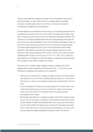Under the super-deduction, companies can deduct 130% of investment in most forms of plant and machinery. In other words, for each £1 a company spends on an eligible investment, its taxable profits reduce by £1.30. There is no limit on the amount of investment that is eligible for the super-deduction.

The super-deduction was introduced at the same time as it was announced that the main rate of corporation tax would rise from 19% to 25% in 2023. This matters for the effects of the policy. Preannouncing an increase in the tax rate would tend to discourage investment. This is because, for investments undertaken before the rate rise but generating revenue after the rate rise, the costs would be deducted at a lower rate (19%) than the subsequent revenue was taxed (25%). This would create an incentive not to invest until the rate increased and the cost could be deducted against the 25% tax rate. For investments that would normally qualify for a 100% deduction under the AIA, the super-deduction simply removes this disincentive effect, because deducting 130% of costs at a 19% tax rate is almost equivalent to deducting 100% of costs at a 25% tax rate (i.e.  $130 \times 0.19 \approx 100 \times 0.25$ ). In effect, the super-deduction can be thought of as allowing companies to deduct their investment against the new, higher tax rate, before the higher rate is in place.

This can be seen in a simple example. Imagine a company is looking to buy £100 of equipment this year that will generate £105 of income in  $2024 - i.e.$  a 5% pre-tax return. The effect of tax depends on the treatment of costs and profits:

- If the tax rate is a constant 19%, a company can deduct (using the AIA) the investment cost, saving £19 in tax. £19.95 in tax would be paid on the income (i.e. 19% tax on the £105 income). So, after tax, the investment would cost £81 and yield £85.05: still a 5% return.
- If costs are deducted at 19% this year, but income taxed at  $25\%$  in 2024, £26.25 in tax would be paid on the income (i.e. 25% tax on £105). Now, after tax, the investment would cost £81 and yield £78.75: the project would be loss-making and thus discouraged by the tax system.
- But using the super-deduction, a company can deduct 130% of the investment cost this year at a 19% tax rate, giving a tax reduction of £24.70 (almost exactly the same as the £25 that would be available from deducting £100 at  $25\%$ ). In this case, the investment costs £75.30 and yields £78.75 (after income is taxed at 25%): the project has a return of 4.6%, almost the same as if costs and income were both subject to a tax rate of 25%. The super-deduction roughly neutralises the disincentive effect of the rate rise.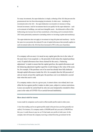For many investments, the super-deduction is simply a rebasing of the AIA that prevents the preannounced rate rise from discouraging investments. In other cases – including for investments above the AIA – the super-deduction is an incentive to increase or bring forward investment. And for investments that do not qualify for the super-deduction – such as investments in buildings, cars and most intangible assets – the disincentive effect of the forthcoming rate increase has not been neutralised, so that doing such investments before 2023 looks particularly unattractive (including relative to investing in plant and machinery).

The super-deduction does not apply to investment in long-life plant and machinery – but for the same two-year period, the reduced 6% rate of capital allowances that normally applies to such investment (above the AIA) has been increased to 50% in the year of purchase.

If a company sells an asset, it is taxed on any capital gain (the rise in the value of the asset since it was acquired, i.e. the proceeds of sale minus the original purchase cost). If capital allowances have been claimed for the asset, a 'balancing adjustment' is made to ensure that the capital gain/loss, the capital allowances and the balancing adjustment together equal the overall change in the value of the asset. So, for example, if the purchase cost of an asset has already been fully deducted through capital allowances (under the AIA, for example) then the full proceeds of sale are taxed, not just the capital gain: the purchase cost is not deducted a second time when the asset is sold.

If a company makes a loss in a given year, it cannot claim a tax refund, but it can offset the loss against profits it makes in other years, subject to various restrictions. Losses can usually be carried back by only one year (temporarily extended to three years in the wake of COVID-19) or carried forward indefinitely.

#### **More about relief for losses**

Losses made by companies can be used to offset taxable profits made in other years.

A loss from trading can be set against profits made in the previous year (but generally not earlier). For instance, if a company made a £100,000 profit last year and a £100,000 loss this year, it could choose to pay tax as if it had made zero profits in both years. In this example, that will mean the company receiving a refund from the government for the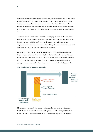corporation tax paid last year. In most circumstances, trading losses can only be carried back one year, except that losses made in the first four years of trading or in the final year of trading can be carried back for up to three years. But in the March 2021 Budget, the Chancellor announced that between 1 April 2020 and 31 March 2022, all companies would be permitted to carry back up to £2 million of trading losses for up to three years instead of the usual one.

Alternatively, losses can be carried forwards. If a company makes a loss this year, it can offset that loss against profits in future years. For instance, if a company makes a £50,000 loss this year and a £200,000 profit next year, it can carry forward its loss so that corporation tax is paid next year on profits of only £150,000. Losses can be carried forward indefinitely as long as the company carries on the same trade.

Companies are limited in the amount of profits they can offset against carried-forward losses. In each year, companies are permitted to offset £5 million of taxable profits against past losses, plus a maximum of 50% (or 25% in the case of banks) of the profits remaining after the £5 million has been deducted. Any unused losses can be carried forward to subsequent years. An example of how these restrictions work is given in the chart below.



#### **Carrying losses forwards: an example**

More restrictive rules apply if a company makes a capital loss on the sale of an asset. Capital losses can only be offset against capital gains, even in the same year (though the converse is not true: trading losses can be offset against capital gains as well as against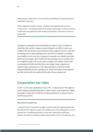trading income). Capital losses can be carried forward indefinitely but cannot generally be carried back to past years.

Where companies form part of a group – meaning, broadly speaking, that they have a common owner – loss-making members of the group are able (subject to certain constraints) to offset their losses against the profits of other group members. This practice is known as 'group relief'.

Companies are generally taxed on the profits they make over the 12 months for which they draw up their company accounts (though it can differ in some cases, notably in the first and last years of business). Most companies choose to start their accounting years in April, matching the tax year. But if a company's accounting year straddles two tax years (e.g. it produces its accounts on a calendar-year basis) and the tax rate changes, then its profits for the accounting year are in effect taxed at a weighted average of the two tax rates according to the number of days in the accounting period before and after the tax rate change. Large companies are required to pay corporation tax in four equal instalments on the basis of their anticipated liabilities for the accounting year. Small and medium-sized companies pay their total tax bill nine months after the end of the accounting year.

## **Corporation tax rates**

In 2021–22, the main corporation tax rate is 19%. A reduced rate of 10% applies to profits relating to patented technologies, a policy known as the 'patent box'. Higher rates apply to banks and to North Sea oil and gas production; we discuss these in the following sections.

#### **More about the patent box**

A reduced 10% rate of corporation tax applies to profits made from exploiting patents that fall within the UK's patent box regime. This includes income from selling goods or services that make use of a qualifying patent and, in some cases, income from licensing and royalties. The relief was introduced in phases between 2013 and 2017. The patent box rules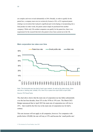are complex and were revised substantially in 2016. Broadly, in order to qualify for the patent box, a company must own (or exclusively license) a UK- or EU-registered patent relating to an invention that it played a significant part in developing or incorporating into a final product (in other words, the patent cannot simply be purchased from another company). While only UK-resident companies can qualify for the patent box, there is no requirement for the research that led to the patent to have been carried out in the UK.



#### **Main corporation tax rates over time**

Note: The horizontal axis has April of each year marked. As well as the rates shown, there was also a 'starting rate' (initially 10%, then 0%) in place from April 2000 to April 2006.

Source: IFS Fiscal Facts.

The chart above shows that the main rate of corporation tax has fallen substantially over the last four decades, from 52% in the 1970s to 19% now. The March 2021 Budget announced that in April 2023 the main rate of corporation tax will rise to 25% – that would be the first rise in the main rate of corporation tax for half a century.

This rate increase will not apply to all companies, however. For companies with profits below £50,000, the rate will stay at 19% and become the 'small profits rate'.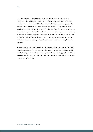And for companies with profits between £50,000 and £250,000 a system of 'marginal relief' will operate, such that an effective marginal tax rate of 26.5% applies on profits in excess of £50,000. This acts to increase the average tax rate gradually until it reaches 25% (see chart and table below). Only companies with profits above £250,000 will face the 25% main rate of tax. Operating a small profits rate and a marginal relief system adds unnecessary complexity, creates unnecessary economic distortions (why have a stronger disincentive to increase profits between £50,000 and £250,000 than above or below that range?), and cannot be justified on distributional grounds: companies with low profits are not akin to people with low incomes.

Corporation tax had a small profits rate in the past, until it was abolished in April 2015 (see chart above). However, it applied up to a much higher profit threshold: for the twenty years prior to its abolition, the small profits rate applied to profits up to £300,000, with marginal relief between £300,000 and £1,500,000 (the thresholds were lower before 1994).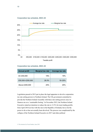

#### **Corporation tax schedule, 2023–24**

#### **Corporation tax schedule, 2023–24**

| <b>Annual profit</b> | <b>Marginal tax rate</b> | <b>Average tax rate</b> |
|----------------------|--------------------------|-------------------------|
| £0-£50,000           | 19%                      | 19%                     |
| £50,000-£250,000     | 26.5%                    | $19 - 25%$              |
| Above £250,000       | 25%                      | 25%                     |

Legislation passed in 2015 put in place the legal apparatus to devolve corporation tax rate-setting powers to Northern Ireland. The UK government committed to provide the Northern Ireland Assembly with these rate-setting powers once its finances are on a 'sustainable footing'. In November 2015, the Northern Ireland Executive stated an intention to reduce the rate to 12.5% for most trading profits from April 2018 (in line with the rate in the Republic of Ireland), but so far the power to do so has not actually been devolved. The process was complicated by the collapse of the Northern Ireland Executive in 2017 and other political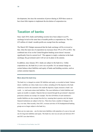developments, but since the restoration of power-sharing in 2020 there seems to have been little impetus to implement the devolution of corporation tax.

### **Taxation of banks**

Since April 2016, banks and building societies have been subject to an 8% surcharge levied on the same base of taxable profits as corporation tax. The first £25 million of a bank's taxable profits are exempt from the surcharge.

The March 2021 Budget announced that the bank surcharge will be reviewed so that, when the main rate of corporation tax increases from 19% to 25% in 2023, 'the combined rate of tax on the United Kingdom banking sector doesn't increase significantly from its current level'. This appears to imply a reduction in the bank surcharge; the government said it will set out its plans in the autumn.

In addition, since January 2011, banks are subject to the bank levy. Unlike corporation tax, the bank levy is not a tax on profits. It is an annual charge on certain balance-sheet liabilities and equity of banks and building societies, such as certain customer deposits.

#### **More about the bank levy**

The bank levy is charged on certain UK liabilities and equity, as recorded on banks' balance sheets. Liabilities are what a bank owes to others, including all of the deposits at the bank (which are owed to the customers who made the deposits). Equity measures a bank's net worth – i.e. total assets minus total liabilities. The exact definition of which liabilities and equity are taxable is complex. Deposits that are insured through the government's depositor protection schemes are exempt, for example. The first £20 billion of each institution's taxable liabilities are also exempt from the levy, meaning that in practice only the largest financial institutions are subject to the levy. There have been a number of changes to the levy over time. Most recently, from 2021, overseas activities of UK-headquartered banking groups are no longer subject to the bank levy.

There are two main rates – one for short-term liabilities with maturities of a year or less and one for long-term liabilities and equity. The bank levy rate was cut each year between 2015 and 2021 (see chart below).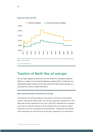

#### **Bank levy rates over time**

Note: The horizontal axis has January of each year marked; as shown in the chart, some changes took effect in other months.

Source: IFS Fiscal Facts.

## **Taxation of North Sea oil and gas**

The tax regime applied to profits derived from North Sea oil and gas production differs in a number of ways from that applied to onshore profits. Overall rates are substantially higher (as shown in the chart at the start of this article) and there is a more generous system of capital allowances.

#### **More about the taxation of North Sea oil and gas**

Corporation tax on North Sea production is ring-fenced, so that losses on the mainland cannot be offset against offshore profits. The main rate of ring-fence corporation tax is 30%, higher than the main corporation tax rate. Prior to April 2007, corporation tax was charged at the same rate within the ring-fence as on the mainland. Since then, changes to onshore corporation tax rates have not applied to ring-fenced profits – including the 2016 abolition of the small profits rate, which still exists for ring-fence corporation tax (see table below).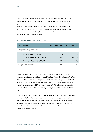Since 2002, profits earned within the North Sea ring-fence have also been subject to a supplementary charge. Strictly speaking, this is separate from corporation tax, but in practice it is almost identical (and is always included within offshore corporation tax revenue). The supplementary charge is levied at a flat rate on the same base of taxable profits to which corporation tax applies, except that costs associated with debt finance cannot be deducted. The 10% supplementary charge can therefore be broadly seen as a 'topup' to the ring-fence corporation tax rate.

#### **Offshore corporation tax rates, 2021–22**

| <b>Tax component</b>              | <b>Marginal tax rate</b> | <b>Average tax rate</b> |
|-----------------------------------|--------------------------|-------------------------|
| <b>Ring-fence corporation tax</b> |                          |                         |
| Annual profit £0-£300,000         | 19%                      | 19%                     |
| Annual profit £300,000-£1,500,000 | 32.75%                   | $19 - 30%$              |
| Annual profit above £1,500,000    | 30%                      | 30%                     |
| <b>Supplementary charge</b>       | 10%                      | 10%                     |

North Sea oil and gas producers formerly faced a further tax, petroleum revenue tax (PRT), on profits from fields approved before March 1993. Since January 2016, the rate of PRT has been set at 0%. The reason for setting a zero rate rather than abolishing the tax entirely is to continue to allow oil and gas producers to offset current losses against profits made in past years (triggering a refund of PRT paid in previous years). This is important as companies can face substantial costs of decommissioning oil and gas installations after production has finished.

While higher rates of corporation tax are charged on offshore profits, the capital allowances available to the North Sea oil and gas sector are significantly more generous: virtually all capital expenditure can be deducted immediately (as well as current expenditure, as usual) – and some investment receives additional allowances on top of that, creating a net subsidy. Ring-fenced activities are not eligible for the temporary super-deduction announced in the March 2021 Budget, however.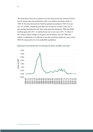The charts below show the evolution of revenue derived from the taxation of North Sea oil and gas since the introduction of the, now defunct, petroleum royalty in 1968–69. Revenue derived from North Sea production peaked in 1984–85 at just over 3% of GDP, comprising more than 10% of total tax revenue in that year. It then declined precipitously and, after rising somewhat during the 1990s and 2000s, declined again after 2011–12 and has been close to zero since 2015–16. Much of the variation reflects changes in oil prices, but the decline since the 1980s also reflects a combination of a reduction in tax rates, declining output and, since at least 2008–09, increased levels of tax-deductible expenditure.



**Revenues from North Sea oil and gas as share of GDP over time**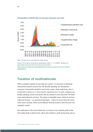

#### **Composition of North Sea oil and gas revenues over time**

Note: The gas levy is excluded from these charts.

Source: IFS revenue composition spreadsheet; table 11.11 of HMRC 'Statistics of government revenues from UK oil and gas production', https://www.gov.uk/government/statistics/government-revenues-from-uk-oil-and-gasproduction--2.

## **Taxation of multinationals**

Where companies operate in more than one country, it is necessary to determine what profits should be taxed in the UK. Broadly speaking, the international consensus is that profits should be taxed in the country where underlying value is created (this is known as a 'source-based' corporation tax). As such, companies are, broadly speaking, taxed on the profits that are deemed to arise from their UK-based assets and production activities. The returns to intangible assets, which do not have a physical location – e.g. patented technologies – tend to be taxed where the owner of the asset is located, which can be different from the location where the asset was originally created.

One implication of the source-based way we choose to tax corporate profit is that UK taxable profit is distinct from, albeit often related to, profit arising from sales to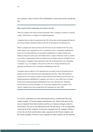UK customers, some of which will be attributable to assets and activities outside the UK.

#### **More about which companies are taxed in the UK**

There are complex rules and tax treaties that dictate when a company is taxable in a specific country. What follows is a high-level, simplified summary.

Companies that are either incorporated in the UK or have their central management based in the UK are usually considered resident in the UK for the purposes of corporation tax.

Where a company has some activities in the UK but is not tax-resident in the UK, it may still be liable to pay corporation tax if it is considered to have a 'permanent establishment' in the UK. The legal definition of a permanent establishment is complex and has been subject to change in recent years, but broadly refers to a place of business (such as a factory or an office) or representatives that are empowered to conclude contracts on behalf of a non-UK company. Companies whose operations in the UK are deemed only to be 'preparatory or auxiliary' (e.g. if a company's only activity in the UK is storage and delivery) are generally not deemed to have a permanent establishment in the UK.

Companies that are subject to UK corporation tax are usually taxed on the profits that are deemed to arise from UK-based assets and production activities. There will usually be a credit given for any foreign tax paid on income that has arisen abroad (e.g. from sales via a foreign permanent establishment). Companies can, however, irrevocably elect to exempt income from foreign permanent establishments from UK corporation tax. Dividends received from an overseas subsidiary (i.e. an overseas company that is owned by a UK 'parent' company) have been exempt from UK corporation tax since 2009.

To see how corporation tax treats international activity, consider the following simple example. A French company manufactures cars. Some of the parts for the cars are imported from other countries and the car is based on designs created in Switzerland. The cars are all imported into the UK and sold by a UK car dealership. Assuming all of the companies involved are unrelated, the UK company will have to buy the cars from (and therefore make a payment to) the French company, and the French company will have to pay companies in other countries for the imported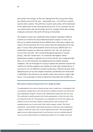parts and the Swiss designs. In this case, although all of the revenue from selling cars initially arises in the UK, part – and possibly most – of it will flow to (and be taxed in) other countries. The profit that is taxed in each country will be determined by the market prices for the various goods and services. If, say, consumers buy the cars mainly because they like the design, the Swiss company will be able to charge a high price and much of the profit will end up in Switzerland.

The situation is much more complicated when companies operating in different countries are owned by the same multinational parent company. In such a case, there are no market transactions between different parts of the same company and income will not necessarily flow to the country where the underlying activity took place. To assess where profit should be taxed in such cases, different parts of a multinational company are effectively required to 'buy' and 'sell' goods and services from each other. This is achieved through the operation of 'transfer pricing', where the 'transfer price' of a transaction that happens within a multinational company is required to be set in line with the 'arm's length principle': that is, set as if the transaction were happening between entirely unrelated companies. This can be thought of as trying to replicate the allocation of profits that would occur if all the companies were separate (as in the initial example above). It can, however, be very difficult to estimate transfer prices. Often the question of the appropriate price for an intra-company transaction, and therefore how much profit is attributable to the activities in one specific country, does not have a single 'right answer' even in principle, let alone an objectively measurable and verifiable one.

#### **More about transfer pricing and the arm's length principle**

To understand how the system of transfer pricing works, consider how it would apply in the car production example above if all of the activities in different countries were done by the same multinational company. The part of the multinational company that sells cars in the UK would make a transfer payment to the French manufacturer to reflect the value of the cars imported into the UK. This payment is a tax-deductible cost for the UK company and taxable revenue for the French company, ensuring that the value associated with manufacturing the cars is taxed as part of the French company's profits. The French manufacturer would similarly make transfer payments to other parts of the multinational company to reflect the value of any car parts imported into France. This broad approach applies not just to physical goods (such as cars) but also to services, including financial services (such as loans) and the use of intellectual property. In our example, the French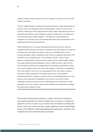company would also make a payment to the Swiss company to account for the value of the designs created there.

The arm's length principle is an attempt to ensure that transactions within multinationals are priced as if they were taking place between unrelated parties. If that were the case, there would be a market price for the transactions that would, in effect, determine how profit was allocated to (and therefore taxed in) different countries. In reality, there is no market price for transactions between related companies – and indeed one reason multinational companies exist is that they enjoy some advantage that cannot easily be replicated by arm'slength transactions between unrelated firms.

With something like cars or car parts, determining the transfer price may be relatively straightforward because there will often be a market price (for other similar cars or parts that are traded on the open market) to compare to and use as a benchmark. But for many activities that happen within a multinational, there will be no comparable market price. This will often be true of intangible assets – such as designs or brands – that are unique. Moreover, multinationals are often much more complex than our simple example. Imagine our example multinational has headquarters in Italy, an R&D team that is split across the UK and Germany, patents that are managed from the Netherlands, and subsidiaries selling cars in every European country. How much of the company's total profits are attributable to each of the countries? How can we say what proportion of the value relates to German innovation or Italian management, for example? In such cases, even with perfect information about all of a company's activities, there is no conceptually right answer to the question of how much profit is attributable to the activities in one specific country. Ambiguities of this kind create the scope for multinationals to use transfer prices to shift their profits to lower-tax countries, and can make it difficult for tax authorities to challenge the transfer prices companies choose.

The rules that surround transfer pricing are complex. Such rules are needed in a source-based corporation tax because companies have an incentive to arrange and report their activities in such a way as to reduce their tax liabilities by shifting their profits to lower-tax countries. But there remains significant scope for profit-shifting because of the difficulty of determining appropriate transfer prices, especially when companies have more information than governments.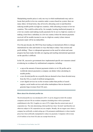Manipulating transfer prices is only one way in which multinationals may seek to locate their profits in low-tax countries under a source-based tax system: there are many others. In broad terms, they all involve allocating costs to (and therefore reducing taxable profits in) high-tax countries, while allocating revenues to low-tax countries. This could be achieved by, for example, locating intellectual property in a low-tax country (and making royalty payments for its use in a high-tax country) or making a loan from a subsidiary in a low-tax country (where the interest payments received will be taxable income) to one in a high-tax country (where interest payments made will be tax-deductible).

Over the past decade, the OECD has been leading on international efforts to change international tax rules and treaties in ways that help to reduce 'base erosion and profit shifting'. There is widespread agreement on the need for reform and some progress has been made, but talks are ongoing and reaching international agreement on the specifics is difficult.

In the UK, successive governments have implemented specific new measures aimed at reducing tax avoidance by multinational companies, including:

- § a cap on the amount of interest payments (relative to its UK profits and its worldwide interest payments) a company can deduct when calculating its taxable profits;
- a new diverted profits tax on profits that are deemed to have been diverted away from the UK as a result of artificial arrangements;
- § a new digital services tax on the revenues (rather than profits) of search engines, social media services and online marketplaces that are deemed to generate large revenues from UK users.

#### **More about the diverted profits tax**

The diverted profits tax was introduced in 2015. It can be charged on both UK-resident companies and non-UK-tax-resident companies (including those with no permanent establishment in the UK). It applies at a rate of 25%, higher than the current main rate of corporation tax. The rules determining which profits have been 'diverted' (and therefore not otherwise subject to UK corporation tax) are complex. Broadly, the tax targets cases where a company has artificially avoided setting up a UK permanent establishment or where transfer prices have been artificially manipulated to reduce tax payments. Companies with revenue of £10 million or less from UK sales are exempt from the tax.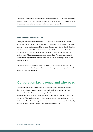The diverted profits tax has raised negligible amounts of revenue. This does not necessarily indicate that the tax has been a failure, however, as its main objective is to act as a deterrent to aggressive corporation tax avoidance rather than to raise revenue directly.

#### **More about the digital services tax**

The digital services tax was introduced in 2020. It is a tax on revenue: unlike a tax on profits, there is no deduction of costs. Companies that provide search engines, social media services or online marketplaces and that have worldwide revenue of more than £500 million are taxed at a flat rate of 2% on any revenue in excess of £25 million that is deemed to be attributable to UK users. The digital services tax applies even if the company is not taxresident in the UK and has no permanent establishment here. This approach is markedly different from corporation tax, which does not seek to allocate taxing rights based on the location of users.

The government has said that it sees the digital services tax as an interim measure and will remove it if an international agreement on an alternative approach to taxing profits related to digital activities is implemented.

## **Corporation tax revenue and who pays**

The chart below shows corporation tax revenue over time. Revenue is volatile because profits vary strongly with the economic cycle. Despite the long-term downward trend in the main rate of corporation tax, corporation tax revenue has not declined as a share of GDP – it has remained broadly in the range of 2–3% of GDP for much of the last half-century. This is because the corporate tax base has grown faster than GDP. This reflects partly an increase in corporate profitability and partly policy changes to broaden the definition of profits subject to tax.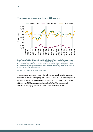

#### **Corporation tax revenue as a share of GDP over time**

Note: Figures for 2020–21 onwards are Office for Budget Responsibility forecasts. Shaded regions show years of negative growth in real GDP. Onshore revenue includes revenue from the bank surcharge. Offshore revenue includes revenue from ring-fence corporation tax and the supplementary charge. Chart shows cash receipts (not accruals), which are available on a consistent basis for a longer period.

Source: IFS revenue composition spreadsheet.

Corporation tax revenues are highly skewed: most revenue is raised from a small number of companies making very large profits. In 2018–19, 55% of all corporation tax was paid by companies that made a tax payment of £1 million or more: a group of fewer than 5,000 companies, making up just 0.3% of the population of corporation-tax-paying businesses. This is shown in the chart below.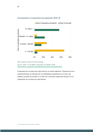

#### **Concentration of corporation tax payments, 2018–19**

Note: Figures include the bank surcharge.

Source: Table 11.6 of HMRC 'Corporation tax statistics 2020', https://www.gov.uk/government/statistics/corporation-tax-statistics-2020.

Corporation tax revenue also relies heavily on certain industries. Financial services in particular play an outsized role in contributing corporation tax revenue: the industry accounts for around 7% of the UK's economic output but around 22% of corporation tax revenue (see chart below).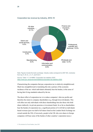

#### **Corporation tax revenue by industry, 2018–19**

Note: Figures include the bank surcharge. Industry codes correspond to 2007 SIC, clockwise from top: K, M, G, J, C, F, and N & O.

Source: Table 11.7 of HMRC 'Corporation tax statistics 2020', https://www.gov.uk/government/statistics/corporation-tax-statistics-2020.

Characterising the companies that pay corporation tax is relatively straightforward. Much less straightforward is translating this into a picture of the economic incidence of the tax: which individuals ultimately bear the burden, in the sense of having their living standards reduced by the tax.

The direct effect of corporation tax is to reduce companies' after-tax profits and therefore the return to company shareholders (e.g. through lower dividends). This will affect not only individuals with direct shareholdings but also those who hold shares indirectly via private pensions or investment funds. In so far as shareholders bear the burden of corporation tax, a significant portion of it will fall on individuals based overseas (just over half of all shares listed on the London Stock Exchange are owned outside the UK). (Conversely, people in the UK who own shares in foreign companies will bear some of the burden of other countries' corporation taxes.)